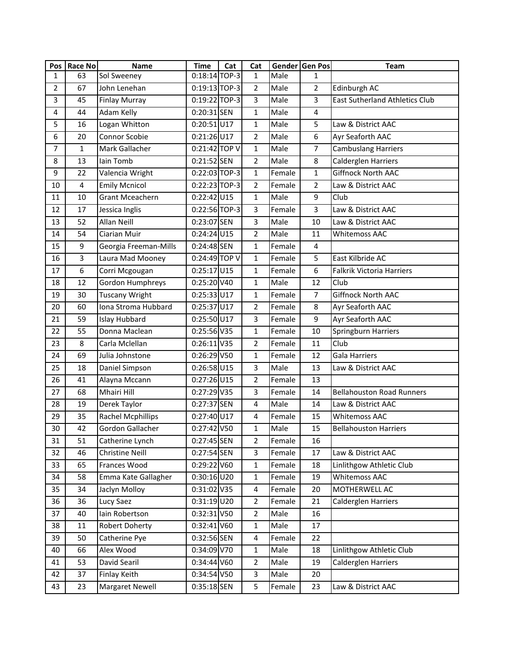| Pos            | Race No        | <b>Name</b>              | <b>Time</b>     | Cat | Cat            |        | Gender Gen Pos | <b>Team</b>                      |
|----------------|----------------|--------------------------|-----------------|-----|----------------|--------|----------------|----------------------------------|
| 1              | 63             | Sol Sweeney              | $0:18:14$ TOP-3 |     | $\mathbf{1}$   | Male   | $\mathbf{1}$   |                                  |
| $\overline{2}$ | 67             | John Lenehan             | 0:19:13 TOP-3   |     | $\overline{2}$ | Male   | $\overline{2}$ | Edinburgh AC                     |
| 3              | 45             | <b>Finlay Murray</b>     | 0:19:22 TOP-3   |     | 3              | Male   | 3              | East Sutherland Athletics Club   |
| 4              | 44             | Adam Kelly               | 0:20:31 SEN     |     | $\mathbf{1}$   | Male   | $\overline{4}$ |                                  |
| 5              | 16             | Logan Whitton            | $0:20:51$ U17   |     | $\mathbf{1}$   | Male   | 5              | Law & District AAC               |
| 6              | 20             | Connor Scobie            | $0:21:26$ U17   |     | $\overline{2}$ | Male   | 6              | Ayr Seaforth AAC                 |
| $\overline{7}$ | $\mathbf{1}$   | Mark Gallacher           | 0:21:42 TOP V   |     | $\mathbf{1}$   | Male   | $\overline{7}$ | <b>Cambuslang Harriers</b>       |
| 8              | 13             | lain Tomb                | 0:21:52 SEN     |     | 2              | Male   | 8              | Calderglen Harriers              |
| 9              | 22             | Valencia Wright          | 0:22:03 TOP-3   |     | $\mathbf{1}$   | Female | $\mathbf{1}$   | <b>Giffnock North AAC</b>        |
| 10             | 4              | <b>Emily Mcnicol</b>     | 0:22:23 TOP-3   |     | $\overline{2}$ | Female | $\overline{2}$ | Law & District AAC               |
| 11             | 10             | <b>Grant Mceachern</b>   | $0:22:42$ U15   |     | $\mathbf{1}$   | Male   | 9              | Club                             |
| 12             | 17             | Jessica Inglis           | 0:22:56 TOP-3   |     | 3              | Female | 3              | Law & District AAC               |
| 13             | 52             | Allan Neill              | 0:23:07 SEN     |     | 3              | Male   | 10             | Law & District AAC               |
| 14             | 54             | Ciarian Muir             | $0:24:24$ U15   |     | $\overline{2}$ | Male   | 11             | <b>Whitemoss AAC</b>             |
| 15             | 9              | Georgia Freeman-Mills    | 0:24:48 SEN     |     | $\mathbf{1}$   | Female | 4              |                                  |
| 16             | $\overline{3}$ | Laura Mad Mooney         | 0:24:49 TOP V   |     | $\mathbf{1}$   | Female | 5              | East Kilbride AC                 |
| 17             | 6              | Corri Mcgougan           | $0:25:17$ U15   |     | $\mathbf{1}$   | Female | 6              | <b>Falkrik Victoria Harriers</b> |
| 18             | 12             | Gordon Humphreys         | 0:25:20 V40     |     | $\mathbf{1}$   | Male   | 12             | Club                             |
| 19             | 30             | <b>Tuscany Wright</b>    | $0:25:33$ U17   |     | $\mathbf{1}$   | Female | $\overline{7}$ | Giffnock North AAC               |
| 20             | 60             | Iona Stroma Hubbard      | $0:25:37$ U17   |     | $\overline{2}$ | Female | 8              | Ayr Seaforth AAC                 |
| 21             | 59             | <b>Islay Hubbard</b>     | $0:25:50$ U17   |     | 3              | Female | 9              | Ayr Seaforth AAC                 |
| 22             | 55             | Donna Maclean            | 0:25:56 V35     |     | $\mathbf{1}$   | Female | 10             | Springburn Harriers              |
| 23             | 8              | Carla Mclellan           | $0:26:11$ V35   |     | $\overline{2}$ | Female | 11             | Club                             |
| 24             | 69             | Julia Johnstone          | $0:26:29$ V50   |     | $\mathbf{1}$   | Female | 12             | <b>Gala Harriers</b>             |
| 25             | 18             | Daniel Simpson           | $0:26:58$ U15   |     | 3              | Male   | 13             | Law & District AAC               |
| 26             | 41             | Alayna Mccann            | $0:27:26$ U15   |     | $\overline{2}$ | Female | 13             |                                  |
| 27             | 68             | Mhairi Hill              | 0:27:29 V35     |     | 3              | Female | 14             | <b>Bellahouston Road Runners</b> |
| 28             | 19             | Derek Taylor             | 0:27:37 SEN     |     | 4              | Male   | 14             | Law & District AAC               |
| 29             | 35             | <b>Rachel Mcphillips</b> | $0:27:40$ U17   |     | 4              | Female | 15             | <b>Whitemoss AAC</b>             |
| 30             | 42             | Gordon Gallacher         | 0:27:42 V50     |     | $\mathbf{1}$   | Male   | 15             | <b>Bellahouston Harriers</b>     |
| 31             | 51             | Catherine Lynch          | 0:27:45 SEN     |     | 2              | Female | 16             |                                  |
| 32             | 46             | Christine Neill          | 0:27:54 SEN     |     | 3              | Female | 17             | Law & District AAC               |
| 33             | 65             | Frances Wood             | $0:29:22$ V60   |     | $\mathbf{1}$   | Female | 18             | Linlithgow Athletic Club         |
| 34             | 58             | Emma Kate Gallagher      | $0:30:16$ U20   |     | 1              | Female | 19             | <b>Whitemoss AAC</b>             |
| 35             | 34             | Jaclyn Molloy            | 0:31:02 V35     |     | 4              | Female | 20             | MOTHERWELL AC                    |
| 36             | 36             | Lucy Saez                | $0:31:19$ U20   |     | $\overline{2}$ | Female | 21             | Calderglen Harriers              |
| 37             | 40             | lain Robertson           | 0:32:31 V50     |     | $\overline{2}$ | Male   | 16             |                                  |
| 38             | 11             | <b>Robert Doherty</b>    | 0:32:41 V60     |     | $\mathbf{1}$   | Male   | 17             |                                  |
| 39             | 50             | Catherine Pye            | 0:32:56 SEN     |     | 4              | Female | 22             |                                  |
| 40             | 66             | Alex Wood                | 0:34:09 V70     |     | $\mathbf{1}$   | Male   | 18             | Linlithgow Athletic Club         |
| 41             | 53             | David Searil             | 0:34:44 V60     |     | 2              | Male   | 19             | Calderglen Harriers              |
| 42             | 37             | <b>Finlay Keith</b>      | 0:34:54 V50     |     | 3              | Male   | 20             |                                  |
| 43             | 23             | Margaret Newell          | 0:35:18 SEN     |     | 5              | Female | 23             | Law & District AAC               |